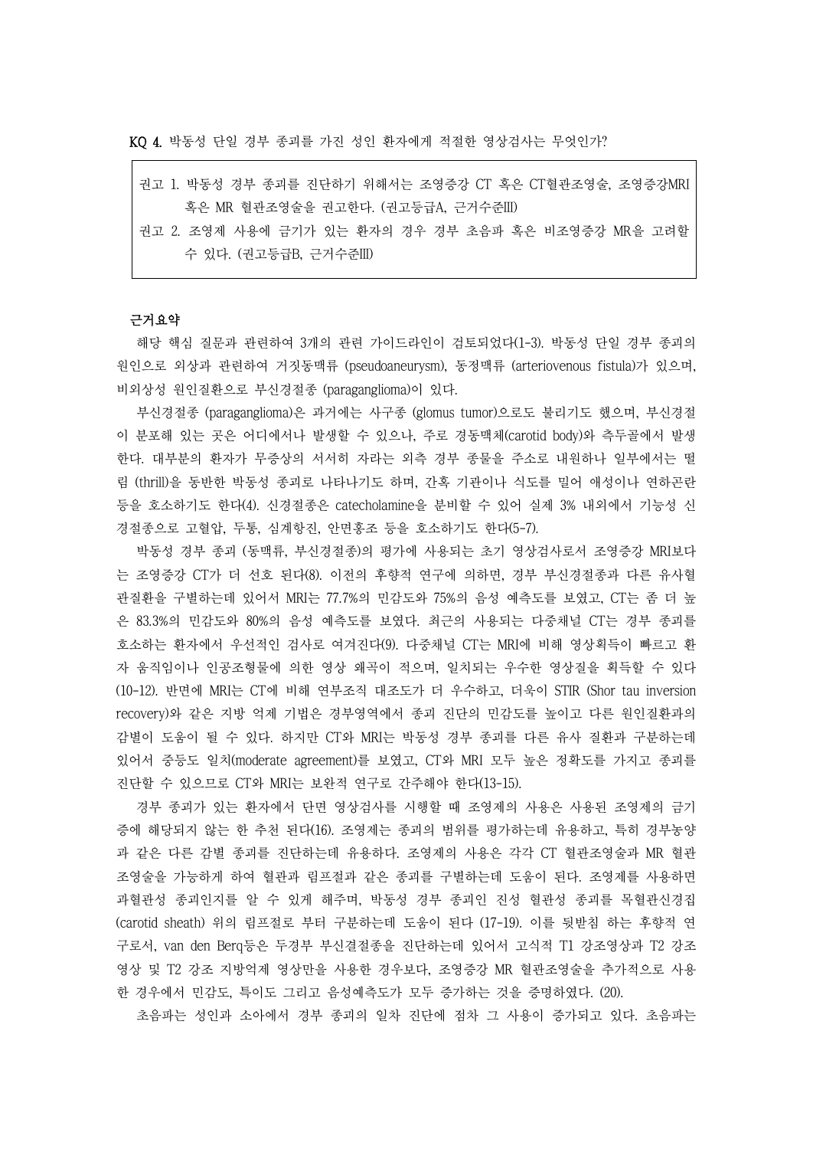KQ 4. 박동성 단일 경부 종괴를 가진 성인 환자에게 적절한 영상검사는 무엇인가?

- 권고 1. 박동성 경부 종괴를 진단하기 위해서는 조영증강 CT 혹은 CT혈관조영술, 조영증강MRI 혹은 MR 혈관조영술을 권고한다. (권고등급A, 근거수준III)
- 권고 2. 조영제 사용에 금기가 있는 환자의 경우 경부 초음파 혹은 비조영증강 MR을 고려할 수 있다. (권고등급B, 근거수준III)

#### 근거요약

해당 핵심 질문과 관련하여 3개의 관련 가이드라인이 검토되었다(1-3). 박동성 단일 경부 종괴의 원인으로 외상과 관련하여 거짓동맥류 (pseudoaneurysm), 동정맥류 (arteriovenous fistula)가 있으며,<br>비외상성 원인질환으로 부신경절종 (paraganglioma)이 있다.<br>부신경절종 (paraganglioma)은 과거에는 사구종 (glomus tumor)으로도 불리기도 했으며, 부신경절

이 분포해 있는 곳은 어디에서나 발생할 수 있으나, 주로 경동맥체(carotid body)와 측두골에서 발생 한다. 대부분의 환자가 무증상의 서서히 자라는 외측 경부 종물을 주소로 내원하나 일부에서는 떨 림 (thrill)을 동반한 박동성 종괴로 나타나기도 하며, 간혹 기관이나 식도를 밀어 애성이나 연하곤란 등을 호소하기도 한다(4). 신경절종은 catecholamine을 분비할 수 있어 실제 3% 내외에서 기능성 신 경절종으로 고혈압, 두통, 심계항진, 안면홍조 등을 호소하기도 한다(5-7).

박동성 경부 종괴 (동맥류, 부신경절종)의 평가에 사용되는 초기 영상검사로서 조영증강 MRI보다 는 조영증강 CT가 더 선호 된다(8). 이전의 후향적 연구에 의하면, 경부 부신경절종과 다른 유사혈 관질환을 구별하는데 있어서 MRI는 77.7%의 민감도와 75%의 음성 예측도를 보였고, CT는 좀 더 높 은 83.3%의 민감도와 80%의 음성 예측도를 보였다. 최근의 사용되는 다중채널 CT는 경부 종괴를 호소하는 환자에서 우선적인 검사로 여겨진다(9). 다중채널 CT는 MRI에 비해 영상획득이 빠르고 환 자 움직임이나 인공조형물에 의한 영상 왜곡이 적으며, 일치되는 우수한 영상질을 획득할 수 있다 (10-12). 반면에 MRI는 CT에 비해 연부조직 대조도가 더 우수하고, 더욱이 STIR (Shor tau inversion recovery)와 같은 지방 억제 기법은 경부영역에서 종괴 진단의 민감도를 높이고 다른 원인질환과의 감별이 도움이 될 수 있다. 하지만 CT와 MRI는 박동성 경부 종괴를 다른 유사 질환과 구분하는데 있어서 중등도 일치(moderate agreement)를 보였고, CT와 MRI 모두 높은 정확도를 가지고 종괴를 진단할 수 있으므로 CT와 MRI는 보완적 연구로 간주해야 한다(13-15).

경부 종괴가 있는 환자에서 단면 영상검사를 시행할 때 조영제의 사용은 사용된 조영제의 금기 증에 해당되지 않는 한 추천 된다(16). 조영제는 종괴의 범위를 평가하는데 유용하고, 특히 경부농양 과 같은 다른 감별 종괴를 진단하는데 유용하다. 조영제의 사용은 각각 CT 혈관조영술과 MR 혈관 조영술을 가능하게 하여 혈관과 림프절과 같은 종괴를 구별하는데 도움이 된다. 조영제를 사용하면 과혈관성 종괴인지를 알 수 있게 해주며, 박동성 경부 종괴인 진성 혈관성 종괴를 목혈관신경집 (carotid sheath) 위의 림프절로 부터 구분하는데 도움이 된다 (17-19). 이를 뒷받침 하는 후향적 연 구로서, van den Berq등은 두경부 부신결절종을 진단하는데 있어서 고식적 T1 강조영상과 T2 강조 영상 및 T2 강조 지방억제 영상만을 사용한 경우보다, 조영증강 MR 혈관조영술을 추가적으로 사용 한 경우에서 민감도, 특이도 그리고 음성예측도가 모두 증가하는 것을 증명하였다. (20).

초음파는 성인과 소아에서 경부 종괴의 일차 진단에 점차 그 사용이 증가되고 있다. 초음파는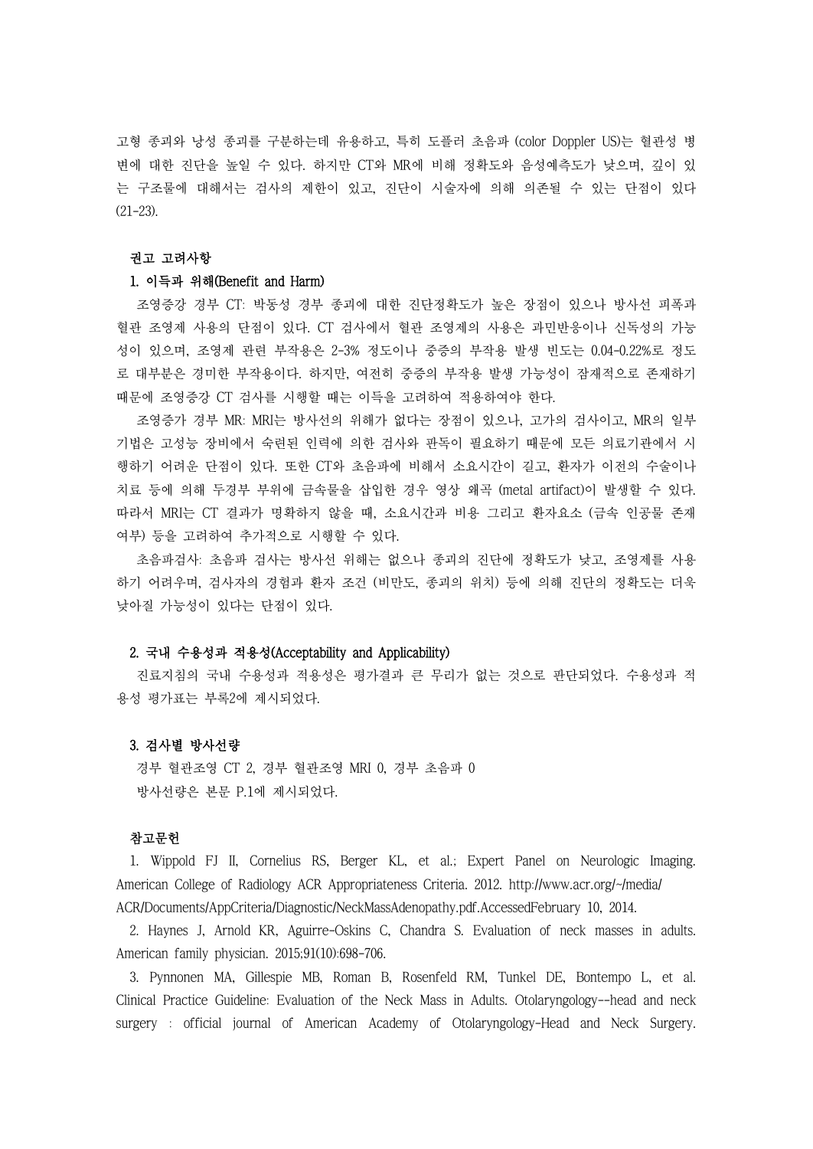고형 종괴와 낭성 종괴를 구분하는데 유용하고, 특히 도플러 초음파 (color Doppler US)는 혈관성 병 변에 대한 진단을 높일 수 있다. 하지만 CT와 MR에 비해 정확도와 음성예측도가 낮으며, 깊이 있 는 구조물에 대해서는 검사의 제한이 있고, 진단이 시술자에 의해 의존될 수 있는 단점이 있다 (21-23).

# 권고 고려사항

### 1. 이득과 위해(Benefit and Harm)

조영증강 경부 CT: 박동성 경부 종괴에 대한 진단정확도가 높은 장점이 있으나 방사선 피폭과 혈관 조영제 사용의 단점이 있다. CT 검사에서 혈관 조영제의 사용은 과민반응이나 신독성의 가능 성이 있으며, 조영제 관련 부작용은 2-3% 정도이나 중증의 부작용 발생 빈도는 0.04-0.22%로 정도 로 대부분은 경미한 부작용이다. 하지만, 여전히 중증의 부작용 발생 가능성이 잠재적으로 존재하기 때문에 조영증강 CT 검사를 시행할 때는 이득을 고려하여 적용하여야 한다.

조영증가 경부 MR: MRI는 방사선의 위해가 없다는 장점이 있으나, 고가의 검사이고, MR의 일부 기법은 고성능 장비에서 숙련된 인력에 의한 검사와 판독이 필요하기 때문에 모든 의료기관에서 시 행하기 어려운 단점이 있다. 또한 CT와 초음파에 비해서 소요시간이 길고, 환자가 이전의 수술이나 치료 등에 의해 두경부 부위에 금속물을 삽입한 경우 영상 왜곡 (metal artifact)이 발생할 수 있다.<br>따라서 MRI는 CT 결과가 명확하지 않을 때, 소요시간과 비용 그리고 환자요소 (금속 인공물 존재 여부) 등을 고려하여 추가적으로 시행할 수 있다.

초음파검사: 초음파 검사는 방사선 위해는 없으나 종괴의 진단에 정확도가 낮고, 조영제를 사용 하기 어려우며, 검사자의 경험과 환자 조건 (비만도, 종괴의 위치) 등에 의해 진단의 정확도는 더욱 낮아질 가능성이 있다는 단점이 있다.

#### 2. 국내 수용성과 적용성(Acceptability and Applicability)

진료지침의 국내 수용성과 적용성은 평가결과 큰 무리가 없는 것으로 판단되었다. 수용성과 적 용성 평가표는 부록2에 제시되었다.

## 3. 검사별 방사선량

경부 혈관조영 CT 2, 경부 혈관조영 MRI 0, 경부 초음파 0 방사선량은 본문 P.1에 제시되었다.

### 참고문헌

1. Wippold FJ II, Cornelius RS, Berger KL, et al.; Expert Panel on Neurologic Imaging. American College of Radiology ACR Appropriateness Criteria. 2012. http://www.acr.org/~/media/ ACR/Documents/AppCriteria/Diagnostic/NeckMassAdenopathy.pdf.AccessedFebruary 10, 2014.

2. Haynes J, Arnold KR, Aguirre-Oskins C, Chandra S. Evaluation of neck masses in adults. American family physician. 2015;91(10):698-706.

3. Pynnonen MA, Gillespie MB, Roman B, Rosenfeld RM, Tunkel DE, Bontempo L, et al. Clinical Practice Guideline: Evaluation of the Neck Mass in Adults. Otolaryngology--head and neck surgery : official journal of American Academy of Otolaryngology-Head and Neck Surgery.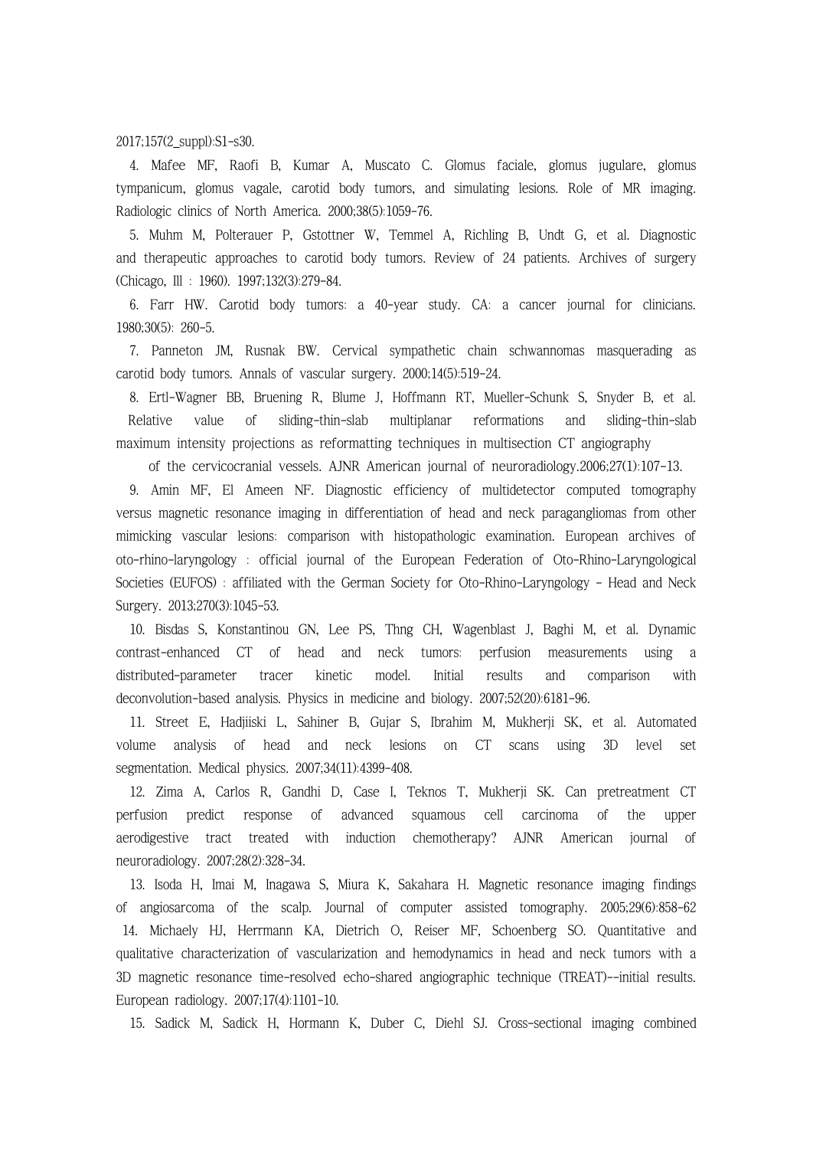2017;157(2\_suppl):S1-s30.

4. Mafee MF, Raofi B, Kumar A, Muscato C. Glomus faciale, glomus jugulare, glomus tympanicum, glomus vagale, carotid body tumors, and simulating lesions. Role of MR imaging. Radiologic clinics of North America. 2000;38(5):1059-76.

5. Muhm M, Polterauer P, Gstottner W, Temmel A, Richling B, Undt G, et al. Diagnostic and therapeutic approaches to carotid body tumors. Review of 24 patients. Archives of surgery (Chicago, Ill : 1960). 1997;132(3):279-84.

6. Farr HW. Carotid body tumors: a 40-year study. CA: a cancer journal for clinicians. 1980;30(5): 260-5.

7. Panneton JM, Rusnak BW. Cervical sympathetic chain schwannomas masquerading as carotid body tumors. Annals of vascular surgery. 2000;14(5):519-24.

8. Ertl-Wagner BB, Bruening R, Blume J, Hoffmann RT, Mueller-Schunk S, Snyder B, et al. Relative value of sliding-thin-slab multiplanar reformations and sliding-thin-slab maximum intensity projections as reformatting techniques in multisection CT angiography

of the cervicocranial vessels. AJNR American journal of neuroradiology.2006;27(1):107-13.

9. Amin MF, El Ameen NF. Diagnostic efficiency of multidetector computed tomography versus magnetic resonance imaging in differentiation of head and neck paragangliomas from other mimicking vascular lesions: comparison with histopathologic examination. European archives of oto-rhino-laryngology : official journal of the European Federation of Oto-Rhino-Laryngological Societies (EUFOS) : affiliated with the German Society for Oto-Rhino-Laryngology - Head and Neck Surgery. 2013;270(3):1045-53.

10. Bisdas S, Konstantinou GN, Lee PS, Thng CH, Wagenblast J, Baghi M, et al. Dynamic contrast-enhanced CT of head and neck tumors: perfusion measurements using a distributed-parameter tracer kinetic model. Initial results and comparison with deconvolution-based analysis. Physics in medicine and biology. 2007;52(20):6181-96.

11. Street E, Hadjiiski L, Sahiner B, Gujar S, Ibrahim M, Mukherji SK, et al. Automated volume analysis of head and neck lesions on CT scans using 3D level set segmentation. Medical physics. 2007;34(11):4399-408.

12. Zima A, Carlos R, Gandhi D, Case I, Teknos T, Mukherji SK. Can pretreatment CT perfusion predict response of advanced squamous cell carcinoma of the upper aerodigestive tract treated with induction chemotherapy? AJNR American journal of neuroradiology. 2007;28(2):328-34.

13. Isoda H, Imai M, Inagawa S, Miura K, Sakahara H. Magnetic resonance imaging findings of angiosarcoma of the scalp. Journal of computer assisted tomography. 2005;29(6):858-62 14. Michaely HJ, Herrmann KA, Dietrich O, Reiser MF, Schoenberg SO. Quantitative and qualitative characterization of vascularization and hemodynamics in head and neck tumors with a 3D magnetic resonance time-resolved echo-shared angiographic technique (TREAT)--initial results. European radiology. 2007;17(4):1101-10.

15. Sadick M, Sadick H, Hormann K, Duber C, Diehl SJ. Cross-sectional imaging combined